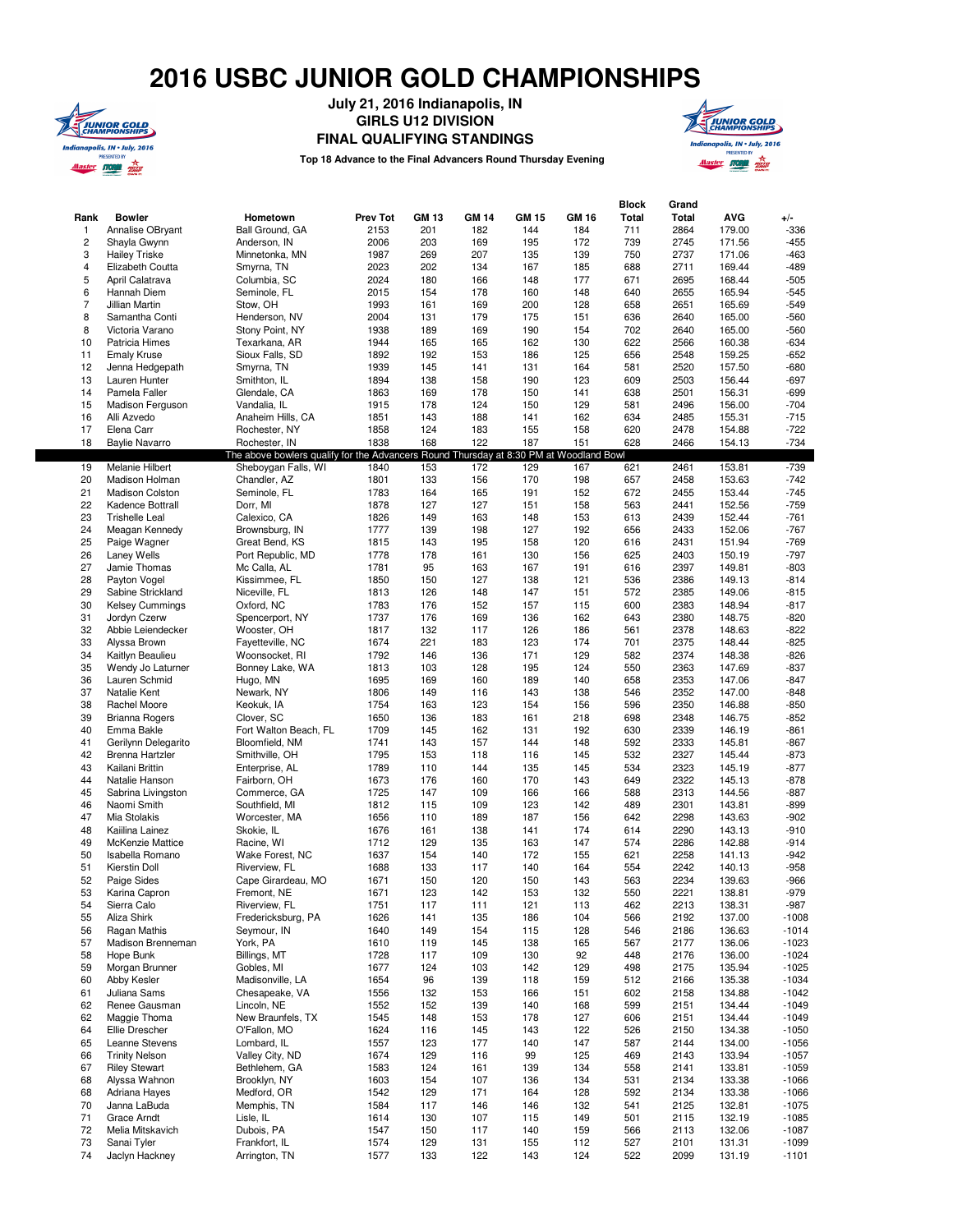## **2016 USBC JUNIOR GOLD CHAMPIONSHIPS**



**July 21, 2016 Indianapolis, IN GIRLS U12 DIVISION**

**FINAL QUALIFYING STANDINGS**

**Top 18 Advance to the Final Advancers Round Thursday Evening**



| Rank<br>1               | <b>Bowler</b><br>Annalise OBryant          | Hometown<br>Ball Ground, GA                                                            | <b>Prev Tot</b><br>2153 | <b>GM 13</b><br>201 | <b>GM 14</b><br>182 | <b>GM 15</b><br>144 | <b>GM 16</b><br>184 | Block<br>Total<br>711 | Grand<br><b>Total</b><br>2864 | <b>AVG</b><br>179.00 | $+/-$<br>$-336$    |
|-------------------------|--------------------------------------------|----------------------------------------------------------------------------------------|-------------------------|---------------------|---------------------|---------------------|---------------------|-----------------------|-------------------------------|----------------------|--------------------|
| $\overline{\mathbf{c}}$ | Shayla Gwynn                               | Anderson, IN                                                                           | 2006                    | 203                 | 169                 | 195                 | 172                 | 739                   | 2745                          | 171.56               | $-455$             |
| 3                       | <b>Hailey Triske</b>                       | Minnetonka, MN                                                                         | 1987                    | 269                 | 207                 | 135                 | 139                 | 750                   | 2737                          | 171.06               | $-463$             |
| $\overline{\mathbf{4}}$ | Elizabeth Coutta                           | Smyrna, TN                                                                             | 2023                    | 202                 | 134                 | 167                 | 185                 | 688                   | 2711                          | 169.44               | $-489$             |
| 5                       | April Calatrava                            | Columbia, SC                                                                           | 2024                    | 180                 | 166                 | 148                 | 177                 | 671                   | 2695                          | 168.44               | $-505$             |
| 6                       | Hannah Diem                                | Seminole, FL                                                                           | 2015                    | 154                 | 178                 | 160                 | 148                 | 640                   | 2655                          | 165.94               | $-545$             |
| $\overline{7}$          | Jillian Martin                             | Stow, OH                                                                               | 1993                    | 161                 | 169                 | 200                 | 128                 | 658                   | 2651                          | 165.69               | $-549$             |
| 8                       | Samantha Conti                             | Henderson, NV                                                                          | 2004                    | 131                 | 179                 | 175                 | 151                 | 636                   | 2640                          | 165.00               | $-560$             |
| 8                       | Victoria Varano                            | Stony Point, NY                                                                        | 1938                    | 189                 | 169                 | 190                 | 154                 | 702                   | 2640                          | 165.00               | $-560$             |
| 10                      | Patricia Himes                             | Texarkana, AR                                                                          | 1944                    | 165                 | 165                 | 162                 | 130                 | 622                   | 2566                          | 160.38               | $-634$             |
| 11                      | <b>Emaly Kruse</b>                         | Sioux Falls, SD                                                                        | 1892                    | 192                 | 153                 | 186                 | 125                 | 656                   | 2548                          | 159.25               | $-652$             |
| 12                      | Jenna Hedgepath                            | Smyrna, TN                                                                             | 1939                    | 145                 | 141                 | 131                 | 164                 | 581                   | 2520                          | 157.50               | $-680$             |
| 13                      | Lauren Hunter                              | Smithton, IL                                                                           | 1894                    | 138                 | 158                 | 190                 | 123                 | 609                   | 2503                          | 156.44               | $-697$             |
| 14                      | Pamela Faller                              | Glendale, CA                                                                           | 1863                    | 169                 | 178                 | 150                 | 141                 | 638                   | 2501                          | 156.31               | $-699$             |
| 15                      | Madison Ferguson                           | Vandalia, IL                                                                           | 1915                    | 178                 | 124                 | 150                 | 129                 | 581                   | 2496                          | 156.00               | $-704$             |
| 16<br>17                | Alli Azvedo                                | Anaheim Hills, CA                                                                      | 1851                    | 143<br>124          | 188<br>183          | 141<br>155          | 162                 | 634<br>620            | 2485                          | 155.31               | $-715$<br>$-722$   |
| 18                      | Elena Carr<br><b>Baylie Navarro</b>        | Rochester, NY<br>Rochester, IN                                                         | 1858<br>1838            | 168                 | 122                 | 187                 | 158<br>151          | 628                   | 2478<br>2466                  | 154.88<br>154.13     | $-734$             |
|                         |                                            | The above bowlers qualify for the Advancers Round Thursday at 8:30 PM at Woodland Bowl |                         |                     |                     |                     |                     |                       |                               |                      |                    |
| 19                      | Melanie Hilbert                            | Sheboygan Falls, WI                                                                    | 1840                    | 153                 | 172                 | 129                 | 167                 | 621                   | 2461                          | 153.81               | $-739$             |
| 20                      | Madison Holman                             | Chandler, AZ                                                                           | 1801                    | 133                 | 156                 | 170                 | 198                 | 657                   | 2458                          | 153.63               | $-742$             |
| 21                      | <b>Madison Colston</b>                     | Seminole, FL                                                                           | 1783                    | 164                 | 165                 | 191                 | 152                 | 672                   | 2455                          | 153.44               | $-745$             |
| 22                      | Kadence Bottrall                           | Dorr, MI                                                                               | 1878                    | 127                 | 127                 | 151                 | 158                 | 563                   | 2441                          | 152.56               | $-759$             |
| 23                      | <b>Trishelle Leal</b>                      | Calexico, CA                                                                           | 1826                    | 149                 | 163                 | 148                 | 153                 | 613                   | 2439                          | 152.44               | $-761$             |
| 24                      | Meagan Kennedy                             | Brownsburg, IN                                                                         | 1777                    | 139                 | 198                 | 127                 | 192                 | 656                   | 2433                          | 152.06               | $-767$             |
| 25                      | Paige Wagner                               | Great Bend, KS                                                                         | 1815                    | 143                 | 195                 | 158                 | 120                 | 616                   | 2431                          | 151.94               | $-769$             |
| 26                      | Laney Wells                                | Port Republic, MD                                                                      | 1778                    | 178                 | 161                 | 130                 | 156                 | 625                   | 2403                          | 150.19               | $-797$             |
| 27                      | Jamie Thomas                               | Mc Calla, AL                                                                           | 1781                    | 95                  | 163                 | 167                 | 191                 | 616                   | 2397                          | 149.81               | $-803$             |
| 28                      | Payton Vogel                               | Kissimmee, FL                                                                          | 1850                    | 150                 | 127                 | 138                 | 121                 | 536                   | 2386                          | 149.13               | $-814$             |
| 29                      | Sabine Strickland                          | Niceville, FL                                                                          | 1813                    | 126                 | 148                 | 147                 | 151                 | 572                   | 2385                          | 149.06               | $-815$             |
| 30                      | <b>Kelsey Cummings</b>                     | Oxford, NC                                                                             | 1783                    | 176                 | 152                 | 157                 | 115                 | 600                   | 2383                          | 148.94               | $-817$             |
| 31                      | Jordyn Czerw                               | Spencerport, NY                                                                        | 1737                    | 176                 | 169                 | 136                 | 162                 | 643                   | 2380                          | 148.75               | $-820$             |
| 32<br>33                | Abbie Leiendecker                          | Wooster, OH                                                                            | 1817                    | 132<br>221          | 117<br>183          | 126<br>123          | 186<br>174          | 561<br>701            | 2378<br>2375                  | 148.63<br>148.44     | $-822$             |
| 34                      | Alyssa Brown<br>Kaitlyn Beaulieu           | Fayetteville, NC<br>Woonsocket, RI                                                     | 1674<br>1792            | 146                 | 136                 | 171                 | 129                 | 582                   | 2374                          | 148.38               | $-825$<br>$-826$   |
| 35                      | Wendy Jo Laturner                          | Bonney Lake, WA                                                                        | 1813                    | 103                 | 128                 | 195                 | 124                 | 550                   | 2363                          | 147.69               | $-837$             |
| 36                      | Lauren Schmid                              | Hugo, MN                                                                               | 1695                    | 169                 | 160                 | 189                 | 140                 | 658                   | 2353                          | 147.06               | $-847$             |
| 37                      | Natalie Kent                               | Newark, NY                                                                             | 1806                    | 149                 | 116                 | 143                 | 138                 | 546                   | 2352                          | 147.00               | $-848$             |
| 38                      | Rachel Moore                               | Keokuk, IA                                                                             | 1754                    | 163                 | 123                 | 154                 | 156                 | 596                   | 2350                          | 146.88               | $-850$             |
| 39                      | Brianna Rogers                             | Clover, SC                                                                             | 1650                    | 136                 | 183                 | 161                 | 218                 | 698                   | 2348                          | 146.75               | $-852$             |
| 40                      | Emma Bakle                                 | Fort Walton Beach, FL                                                                  | 1709                    | 145                 | 162                 | 131                 | 192                 | 630                   | 2339                          | 146.19               | $-861$             |
| 41                      | Gerilynn Delegarito                        | Bloomfield, NM                                                                         | 1741                    | 143                 | 157                 | 144                 | 148                 | 592                   | 2333                          | 145.81               | $-867$             |
| 42                      | <b>Brenna Hartzler</b>                     | Smithville, OH                                                                         | 1795                    | 153                 | 118                 | 116                 | 145                 | 532                   | 2327                          | 145.44               | $-873$             |
| 43                      | Kailani Brittin                            | Enterprise, AL                                                                         | 1789                    | 110                 | 144                 | 135                 | 145                 | 534                   | 2323                          | 145.19               | $-877$             |
| 44                      | Natalie Hanson                             | Fairborn, OH                                                                           | 1673                    | 176                 | 160                 | 170                 | 143                 | 649                   | 2322                          | 145.13               | $-878$             |
| 45                      | Sabrina Livingston                         | Commerce, GA                                                                           | 1725                    | 147                 | 109                 | 166                 | 166                 | 588                   | 2313                          | 144.56               | $-887$             |
| 46                      | Naomi Smith                                | Southfield, MI                                                                         | 1812                    | 115                 | 109                 | 123                 | 142                 | 489                   | 2301                          | 143.81               | $-899$             |
| 47                      | Mia Stolakis                               | Worcester, MA                                                                          | 1656                    | 110                 | 189                 | 187                 | 156                 | 642                   | 2298                          | 143.63               | $-902$             |
| 48                      | Kaiilina Lainez                            | Skokie, IL                                                                             | 1676                    | 161<br>129          | 138                 | 141                 | 174                 | 614<br>574            | 2290                          | 143.13               | $-910$<br>$-914$   |
| 49<br>50                | <b>McKenzie Mattice</b><br>Isabella Romano | Racine, WI<br>Wake Forest, NC                                                          | 1712<br>1637            | 154                 | 135<br>140          | 163<br>172          | 147<br>155          | 621                   | 2286<br>2258                  | 142.88<br>141.13     | $-942$             |
| 51                      | Kierstin Doll                              | Riverview, FL                                                                          | 1688                    | 133                 | 117                 | 140                 | 164                 | 554                   | 2242                          | 140.13               | $-958$             |
| 52                      | Paige Sides                                | Cape Girardeau, MO                                                                     | 1671                    | 150                 | 120                 | 150                 | 143                 | 563                   | 2234                          | 139.63               | $-966$             |
| 53                      | Karina Capron                              | Fremont, NE                                                                            | 1671                    | 123                 | 142                 | 153                 | 132                 | 550                   | 2221                          | 138.81               | -979               |
| 54                      | Sierra Calo                                | Riverview, FL                                                                          | 1751                    | 117                 | 111                 | 121                 | 113                 | 462                   | 2213                          | 138.31               | $-987$             |
| 55                      | Aliza Shirk                                | Fredericksburg, PA                                                                     | 1626                    | 141                 | 135                 | 186                 | 104                 | 566                   | 2192                          | 137.00               | $-1008$            |
| 56                      | Ragan Mathis                               | Sevmour. IN                                                                            | 1640                    | 149                 | 154                 | 115                 | 128                 | 546                   | 2186                          | 136.63               | $-1014$            |
| 57                      | Madison Brenneman                          | York, PA                                                                               | 1610                    | 119                 | 145                 | 138                 | 165                 | 567                   | 2177                          | 136.06               | $-1023$            |
| 58                      | Hope Bunk                                  | Billings, MT                                                                           | 1728                    | 117                 | 109                 | 130                 | 92                  | 448                   | 2176                          | 136.00               | $-1024$            |
| 59                      | Morgan Brunner                             | Gobles, MI                                                                             | 1677                    | 124                 | 103                 | 142                 | 129                 | 498                   | 2175                          | 135.94               | $-1025$            |
| 60                      | Abby Kesler                                | Madisonville, LA                                                                       | 1654                    | 96                  | 139                 | 118                 | 159                 | 512                   | 2166                          | 135.38               | $-1034$            |
| 61                      | Juliana Sams                               | Chesapeake, VA                                                                         | 1556                    | 132                 | 153                 | 166                 | 151                 | 602                   | 2158                          | 134.88               | $-1042$            |
| 62                      | Renee Gausman                              | Lincoln, NE                                                                            | 1552                    | 152                 | 139                 | 140                 | 168                 | 599                   | 2151                          | 134.44               | $-1049$            |
| 62                      | Maggie Thoma                               | New Braunfels, TX                                                                      | 1545                    | 148                 | 153                 | 178                 | 127                 | 606                   | 2151                          | 134.44               | $-1049$            |
| 64                      | Ellie Drescher                             | O'Fallon, MO                                                                           | 1624                    | 116                 | 145                 | 143                 | 122                 | 526                   | 2150                          | 134.38               | $-1050$            |
| 65                      | Leanne Stevens                             | Lombard, IL                                                                            | 1557                    | 123                 | 177                 | 140                 | 147                 | 587                   | 2144                          | 134.00               | $-1056$            |
| 66                      | <b>Trinity Nelson</b>                      | Valley City, ND<br>Bethlehem, GA                                                       | 1674                    | 129                 | 116                 | 99                  | 125                 | 469                   | 2143                          | 133.94               | $-1057$            |
| 67<br>68                | <b>Riley Stewart</b><br>Alyssa Wahnon      | Brooklyn, NY                                                                           | 1583<br>1603            | 124<br>154          | 161<br>107          | 139<br>136          | 134<br>134          | 558<br>531            | 2141<br>2134                  | 133.81<br>133.38     | $-1059$<br>$-1066$ |
| 68                      | Adriana Hayes                              | Medford, OR                                                                            | 1542                    | 129                 | 171                 | 164                 | 128                 | 592                   | 2134                          | 133.38               | $-1066$            |
| 70                      | Janna LaBuda                               | Memphis, TN                                                                            | 1584                    | 117                 | 146                 | 146                 | 132                 | 541                   | 2125                          | 132.81               | $-1075$            |
| 71                      | Grace Arndt                                | Lisle, IL                                                                              | 1614                    | 130                 | 107                 | 115                 | 149                 | 501                   | 2115                          | 132.19               | $-1085$            |
| 72                      | Melia Mitskavich                           | Dubois, PA                                                                             | 1547                    | 150                 | 117                 | 140                 | 159                 | 566                   | 2113                          | 132.06               | $-1087$            |
| 73                      | Sanai Tyler                                | Frankfort, IL                                                                          | 1574                    | 129                 | 131                 | 155                 | 112                 | 527                   | 2101                          | 131.31               | $-1099$            |

74 Jaclyn Hackney Arrington, TN 1577 133 122 143 124 522 2099 131.19 -1101